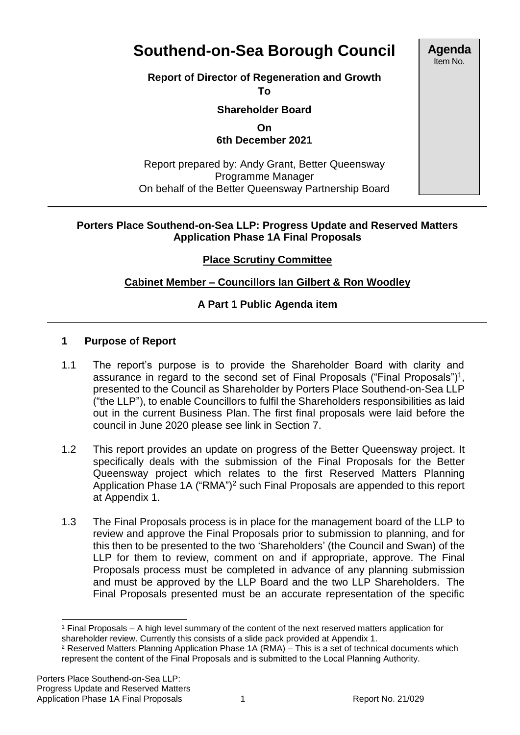# **Southend-on-Sea Borough Council**

# **Report of Director of Regeneration and Growth**

**To**

**Shareholder Board** 

**On 6th December 2021**

Report prepared by: Andy Grant, Better Queensway Programme Manager On behalf of the Better Queensway Partnership Board

#### **Porters Place Southend-on-Sea LLP: Progress Update and Reserved Matters Application Phase 1A Final Proposals**

## **Place Scrutiny Committee**

# **Cabinet Member – Councillors Ian Gilbert & Ron Woodley**

# **A Part 1 Public Agenda item**

## **1 Purpose of Report**

- 1.1 The report's purpose is to provide the Shareholder Board with clarity and assurance in regard to the second set of Final Proposals ("Final Proposals")<sup>1</sup>, presented to the Council as Shareholder by Porters Place Southend-on-Sea LLP ("the LLP"), to enable Councillors to fulfil the Shareholders responsibilities as laid out in the current Business Plan. The first final proposals were laid before the council in June 2020 please see link in Section 7.
- 1.2 This report provides an update on progress of the Better Queensway project. It specifically deals with the submission of the Final Proposals for the Better Queensway project which relates to the first Reserved Matters Planning Application Phase 1A ("RMA")<sup>2</sup> such Final Proposals are appended to this report at Appendix 1.
- 1.3 The Final Proposals process is in place for the management board of the LLP to review and approve the Final Proposals prior to submission to planning, and for this then to be presented to the two 'Shareholders' (the Council and Swan) of the LLP for them to review, comment on and if appropriate, approve. The Final Proposals process must be completed in advance of any planning submission and must be approved by the LLP Board and the two LLP Shareholders. The Final Proposals presented must be an accurate representation of the specific

**Agenda** Item No.

l <sup>1</sup> Final Proposals – A high level summary of the content of the next reserved matters application for shareholder review. Currently this consists of a slide pack provided at Appendix 1.

<sup>2</sup> Reserved Matters Planning Application Phase 1A (RMA) – This is a set of technical documents which represent the content of the Final Proposals and is submitted to the Local Planning Authority.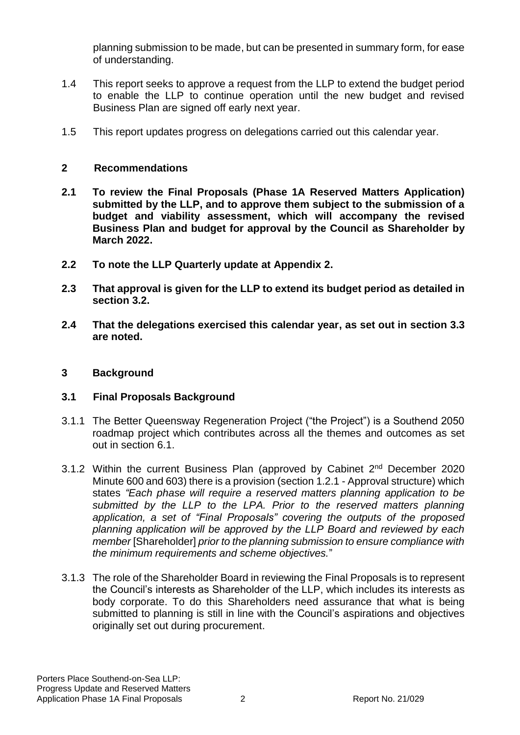planning submission to be made, but can be presented in summary form, for ease of understanding.

- 1.4 This report seeks to approve a request from the LLP to extend the budget period to enable the LLP to continue operation until the new budget and revised Business Plan are signed off early next year.
- 1.5 This report updates progress on delegations carried out this calendar year.

## **2 Recommendations**

- **2.1 To review the Final Proposals (Phase 1A Reserved Matters Application) submitted by the LLP, and to approve them subject to the submission of a budget and viability assessment, which will accompany the revised Business Plan and budget for approval by the Council as Shareholder by March 2022.**
- **2.2 To note the LLP Quarterly update at Appendix 2.**
- **2.3 That approval is given for the LLP to extend its budget period as detailed in section 3.2.**
- **2.4 That the delegations exercised this calendar year, as set out in section 3.3 are noted.**

## **3 Background**

# **3.1 Final Proposals Background**

- 3.1.1 The Better Queensway Regeneration Project ("the Project") is a Southend 2050 roadmap project which contributes across all the themes and outcomes as set out in section 6.1.
- 3.1.2 Within the current Business Plan (approved by Cabinet 2<sup>nd</sup> December 2020 Minute 600 and 603) there is a provision (section 1.2.1 - Approval structure) which states *"Each phase will require a reserved matters planning application to be submitted by the LLP to the LPA. Prior to the reserved matters planning application, a set of "Final Proposals" covering the outputs of the proposed planning application will be approved by the LLP Board and reviewed by each member* [Shareholder] *prior to the planning submission to ensure compliance with the minimum requirements and scheme objectives.*"
- 3.1.3 The role of the Shareholder Board in reviewing the Final Proposals is to represent the Council's interests as Shareholder of the LLP, which includes its interests as body corporate. To do this Shareholders need assurance that what is being submitted to planning is still in line with the Council's aspirations and objectives originally set out during procurement.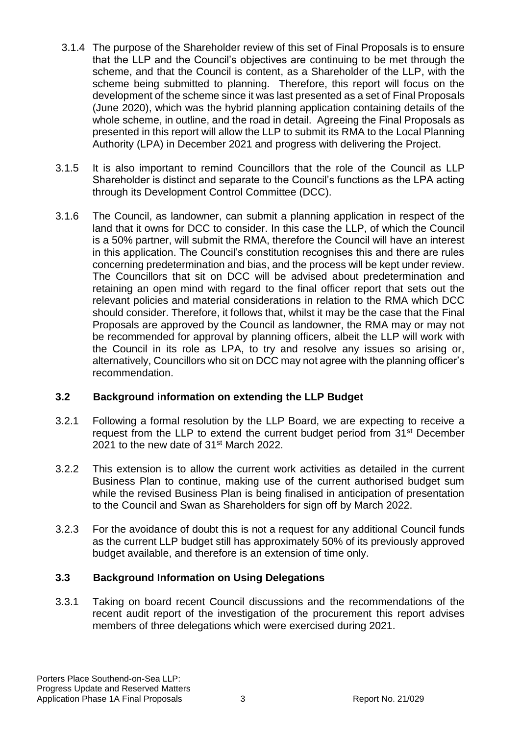- 3.1.4 The purpose of the Shareholder review of this set of Final Proposals is to ensure that the LLP and the Council's objectives are continuing to be met through the scheme, and that the Council is content, as a Shareholder of the LLP, with the scheme being submitted to planning. Therefore, this report will focus on the development of the scheme since it was last presented as a set of Final Proposals (June 2020), which was the hybrid planning application containing details of the whole scheme, in outline, and the road in detail. Agreeing the Final Proposals as presented in this report will allow the LLP to submit its RMA to the Local Planning Authority (LPA) in December 2021 and progress with delivering the Project.
- 3.1.5 It is also important to remind Councillors that the role of the Council as LLP Shareholder is distinct and separate to the Council's functions as the LPA acting through its Development Control Committee (DCC).
- 3.1.6 The Council, as landowner, can submit a planning application in respect of the land that it owns for DCC to consider. In this case the LLP, of which the Council is a 50% partner, will submit the RMA, therefore the Council will have an interest in this application. The Council's constitution recognises this and there are rules concerning predetermination and bias, and the process will be kept under review. The Councillors that sit on DCC will be advised about predetermination and retaining an open mind with regard to the final officer report that sets out the relevant policies and material considerations in relation to the RMA which DCC should consider. Therefore, it follows that, whilst it may be the case that the Final Proposals are approved by the Council as landowner, the RMA may or may not be recommended for approval by planning officers, albeit the LLP will work with the Council in its role as LPA, to try and resolve any issues so arising or, alternatively, Councillors who sit on DCC may not agree with the planning officer's recommendation.

# **3.2 Background information on extending the LLP Budget**

- 3.2.1 Following a formal resolution by the LLP Board, we are expecting to receive a request from the LLP to extend the current budget period from 31<sup>st</sup> December 2021 to the new date of 31st March 2022.
- 3.2.2 This extension is to allow the current work activities as detailed in the current Business Plan to continue, making use of the current authorised budget sum while the revised Business Plan is being finalised in anticipation of presentation to the Council and Swan as Shareholders for sign off by March 2022.
- 3.2.3 For the avoidance of doubt this is not a request for any additional Council funds as the current LLP budget still has approximately 50% of its previously approved budget available, and therefore is an extension of time only.

# **3.3 Background Information on Using Delegations**

3.3.1 Taking on board recent Council discussions and the recommendations of the recent audit report of the investigation of the procurement this report advises members of three delegations which were exercised during 2021.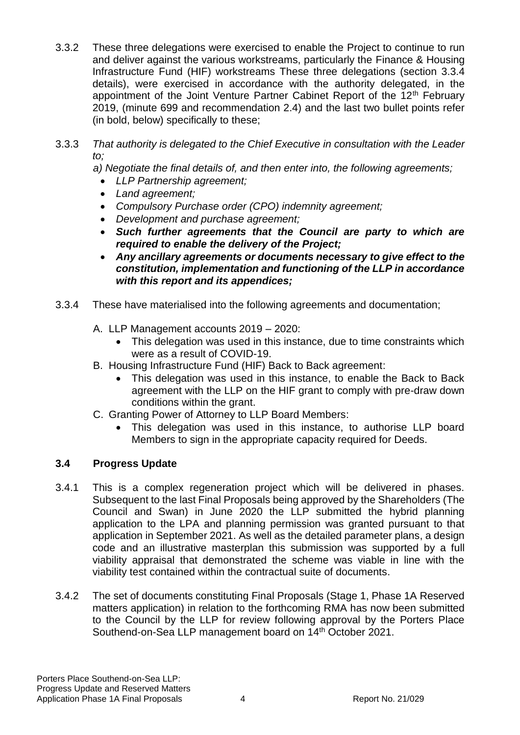- 3.3.2 These three delegations were exercised to enable the Project to continue to run and deliver against the various workstreams, particularly the Finance & Housing Infrastructure Fund (HIF) workstreams These three delegations (section 3.3.4 details), were exercised in accordance with the authority delegated, in the appointment of the Joint Venture Partner Cabinet Report of the 12<sup>th</sup> February 2019, (minute 699 and recommendation 2.4) and the last two bullet points refer (in bold, below) specifically to these;
- 3.3.3 *That authority is delegated to the Chief Executive in consultation with the Leader to;*

*a) Negotiate the final details of, and then enter into, the following agreements;* 

- *LLP Partnership agreement;*
- *Land agreement;*
- *Compulsory Purchase order (CPO) indemnity agreement;*
- *Development and purchase agreement;*
- *Such further agreements that the Council are party to which are required to enable the delivery of the Project;*
- *Any ancillary agreements or documents necessary to give effect to the constitution, implementation and functioning of the LLP in accordance with this report and its appendices;*
- 3.3.4 These have materialised into the following agreements and documentation;
	- A. LLP Management accounts 2019 2020:
		- This delegation was used in this instance, due to time constraints which were as a result of COVID-19.
	- B. Housing Infrastructure Fund (HIF) Back to Back agreement:
		- This delegation was used in this instance, to enable the Back to Back agreement with the LLP on the HIF grant to comply with pre-draw down conditions within the grant.
	- C. Granting Power of Attorney to LLP Board Members:
		- This delegation was used in this instance, to authorise LLP board Members to sign in the appropriate capacity required for Deeds.

# **3.4 Progress Update**

- 3.4.1 This is a complex regeneration project which will be delivered in phases. Subsequent to the last Final Proposals being approved by the Shareholders (The Council and Swan) in June 2020 the LLP submitted the hybrid planning application to the LPA and planning permission was granted pursuant to that application in September 2021. As well as the detailed parameter plans, a design code and an illustrative masterplan this submission was supported by a full viability appraisal that demonstrated the scheme was viable in line with the viability test contained within the contractual suite of documents.
- 3.4.2 The set of documents constituting Final Proposals (Stage 1, Phase 1A Reserved matters application) in relation to the forthcoming RMA has now been submitted to the Council by the LLP for review following approval by the Porters Place Southend-on-Sea LLP management board on 14<sup>th</sup> October 2021.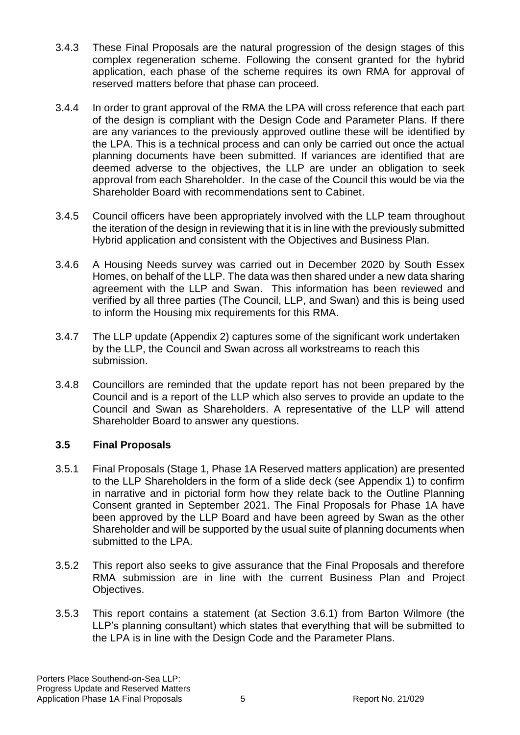- 3.4.3 These Final Proposals are the natural progression of the design stages of this complex regeneration scheme. Following the consent granted for the hybrid application, each phase of the scheme requires its own RMA for approval of reserved matters before that phase can proceed.
- 3.4.4 In order to grant approval of the RMA the LPA will cross reference that each part of the design is compliant with the Design Code and Parameter Plans. If there are any variances to the previously approved outline these will be identified by the LPA. This is a technical process and can only be carried out once the actual planning documents have been submitted. If variances are identified that are deemed adverse to the objectives, the LLP are under an obligation to seek approval from each Shareholder. In the case of the Council this would be via the Shareholder Board with recommendations sent to Cabinet.
- 3.4.5 Council officers have been appropriately involved with the LLP team throughout the iteration of the design in reviewing that it is in line with the previously submitted Hybrid application and consistent with the Objectives and Business Plan.
- 3.4.6 A Housing Needs survey was carried out in December 2020 by South Essex Homes, on behalf of the LLP. The data was then shared under a new data sharing agreement with the LLP and Swan. This information has been reviewed and verified by all three parties (The Council, LLP, and Swan) and this is being used to inform the Housing mix requirements for this RMA.
- 3.4.7 The LLP update (Appendix 2) captures some of the significant work undertaken by the LLP, the Council and Swan across all workstreams to reach this submission.
- 3.4.8 Councillors are reminded that the update report has not been prepared by the Council and is a report of the LLP which also serves to provide an update to the Council and Swan as Shareholders. A representative of the LLP will attend Shareholder Board to answer any questions.

## **3.5 Final Proposals**

- 3.5.1 Final Proposals (Stage 1, Phase 1A Reserved matters application) are presented to the LLP Shareholders in the form of a slide deck (see Appendix 1) to confirm in narrative and in pictorial form how they relate back to the Outline Planning Consent granted in September 2021. The Final Proposals for Phase 1A have been approved by the LLP Board and have been agreed by Swan as the other Shareholder and will be supported by the usual suite of planning documents when submitted to the LPA.
- 3.5.2 This report also seeks to give assurance that the Final Proposals and therefore RMA submission are in line with the current Business Plan and Project Objectives.
- 3.5.3 This report contains a statement (at Section 3.6.1) from Barton Wilmore (the LLP's planning consultant) which states that everything that will be submitted to the LPA is in line with the Design Code and the Parameter Plans.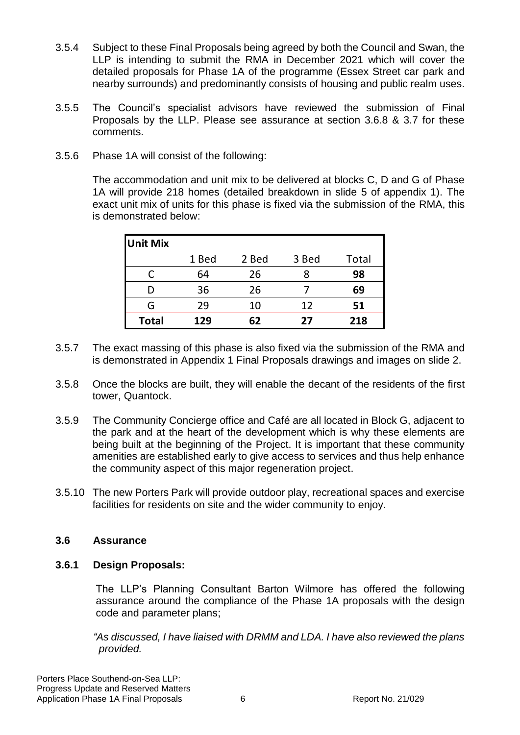- 3.5.4 Subject to these Final Proposals being agreed by both the Council and Swan, the LLP is intending to submit the RMA in December 2021 which will cover the detailed proposals for Phase 1A of the programme (Essex Street car park and nearby surrounds) and predominantly consists of housing and public realm uses.
- 3.5.5 The Council's specialist advisors have reviewed the submission of Final Proposals by the LLP. Please see assurance at section 3.6.8 & 3.7 for these comments.
- 3.5.6 Phase 1A will consist of the following:

The accommodation and unit mix to be delivered at blocks C, D and G of Phase 1A will provide 218 homes (detailed breakdown in slide 5 of appendix 1). The exact unit mix of units for this phase is fixed via the submission of the RMA, this is demonstrated below:

| <b>Unit Mix</b> |       |       |       |       |
|-----------------|-------|-------|-------|-------|
|                 | 1 Bed | 2 Bed | 3 Bed | Total |
|                 | 64    | 26    |       | 98    |
|                 | 36    | 26    |       | 69    |
| G               | 29    | 10    | 12    | 51    |
| <b>Total</b>    | 129   | 62    | 27    | 218   |

- 3.5.7 The exact massing of this phase is also fixed via the submission of the RMA and is demonstrated in Appendix 1 Final Proposals drawings and images on slide 2.
- 3.5.8 Once the blocks are built, they will enable the decant of the residents of the first tower, Quantock.
- 3.5.9 The Community Concierge office and Café are all located in Block G, adjacent to the park and at the heart of the development which is why these elements are being built at the beginning of the Project. It is important that these community amenities are established early to give access to services and thus help enhance the community aspect of this major regeneration project.
- 3.5.10 The new Porters Park will provide outdoor play, recreational spaces and exercise facilities for residents on site and the wider community to enjoy.

#### **3.6 Assurance**

#### **3.6.1 Design Proposals:**

The LLP's Planning Consultant Barton Wilmore has offered the following assurance around the compliance of the Phase 1A proposals with the design code and parameter plans;

*"As discussed, I have liaised with DRMM and LDA. I have also reviewed the plans provided.*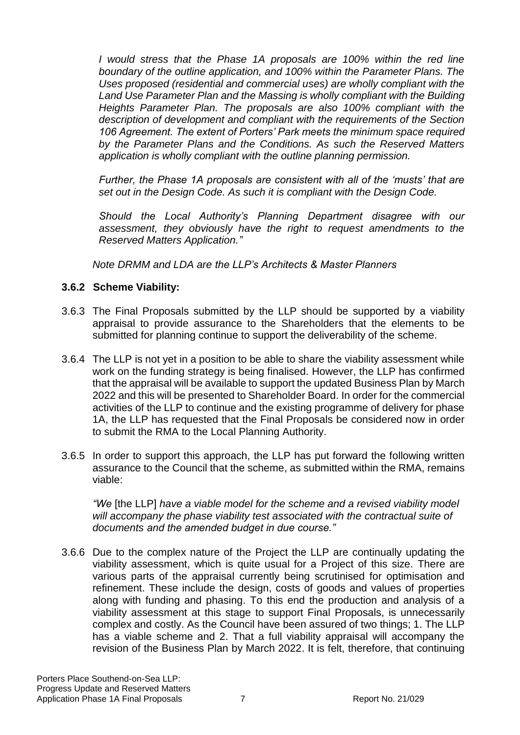*I would stress that the Phase 1A proposals are 100% within the red line boundary of the outline application, and 100% within the Parameter Plans. The Uses proposed (residential and commercial uses) are wholly compliant with the Land Use Parameter Plan and the Massing is wholly compliant with the Building Heights Parameter Plan. The proposals are also 100% compliant with the description of development and compliant with the requirements of the Section 106 Agreement. The extent of Porters' Park meets the minimum space required by the Parameter Plans and the Conditions. As such the Reserved Matters application is wholly compliant with the outline planning permission.* 

*Further, the Phase 1A proposals are consistent with all of the 'musts' that are set out in the Design Code. As such it is compliant with the Design Code.* 

*Should the Local Authority's Planning Department disagree with our assessment, they obviously have the right to request amendments to the Reserved Matters Application."*

*Note DRMM and LDA are the LLP's Architects & Master Planners*

## **3.6.2 Scheme Viability:**

- 3.6.3 The Final Proposals submitted by the LLP should be supported by a viability appraisal to provide assurance to the Shareholders that the elements to be submitted for planning continue to support the deliverability of the scheme.
- 3.6.4 The LLP is not yet in a position to be able to share the viability assessment while work on the funding strategy is being finalised. However, the LLP has confirmed that the appraisal will be available to support the updated Business Plan by March 2022 and this will be presented to Shareholder Board. In order for the commercial activities of the LLP to continue and the existing programme of delivery for phase 1A, the LLP has requested that the Final Proposals be considered now in order to submit the RMA to the Local Planning Authority.
- 3.6.5 In order to support this approach, the LLP has put forward the following written assurance to the Council that the scheme, as submitted within the RMA, remains viable:

*"We* [the LLP] *have a viable model for the scheme and a revised viability model*  will accompany the phase viability test associated with the contractual suite of *documents and the amended budget in due course."*

3.6.6 Due to the complex nature of the Project the LLP are continually updating the viability assessment, which is quite usual for a Project of this size. There are various parts of the appraisal currently being scrutinised for optimisation and refinement. These include the design, costs of goods and values of properties along with funding and phasing. To this end the production and analysis of a viability assessment at this stage to support Final Proposals, is unnecessarily complex and costly. As the Council have been assured of two things; 1. The LLP has a viable scheme and 2. That a full viability appraisal will accompany the revision of the Business Plan by March 2022. It is felt, therefore, that continuing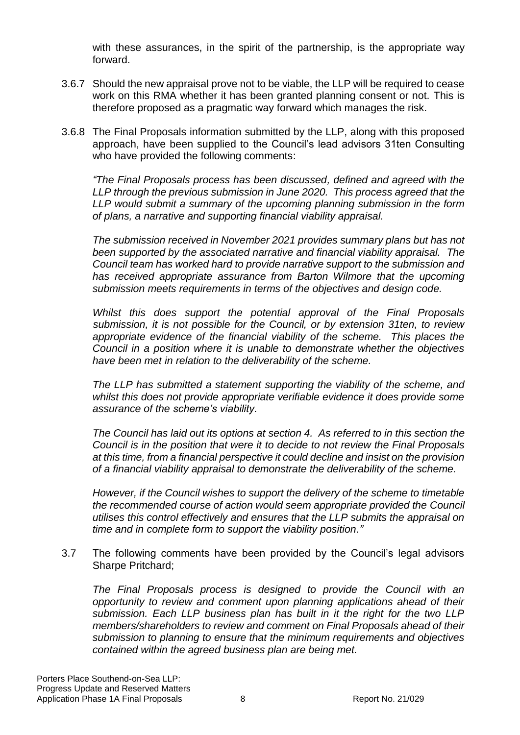with these assurances, in the spirit of the partnership, is the appropriate way forward.

- 3.6.7 Should the new appraisal prove not to be viable, the LLP will be required to cease work on this RMA whether it has been granted planning consent or not. This is therefore proposed as a pragmatic way forward which manages the risk.
- 3.6.8 The Final Proposals information submitted by the LLP, along with this proposed approach, have been supplied to the Council's lead advisors 31ten Consulting who have provided the following comments:

*"The Final Proposals process has been discussed, defined and agreed with the LLP through the previous submission in June 2020. This process agreed that the LLP would submit a summary of the upcoming planning submission in the form of plans, a narrative and supporting financial viability appraisal.*

*The submission received in November 2021 provides summary plans but has not been supported by the associated narrative and financial viability appraisal. The Council team has worked hard to provide narrative support to the submission and has received appropriate assurance from Barton Wilmore that the upcoming submission meets requirements in terms of the objectives and design code.*

*Whilst this does support the potential approval of the Final Proposals submission, it is not possible for the Council, or by extension 31ten, to review appropriate evidence of the financial viability of the scheme. This places the Council in a position where it is unable to demonstrate whether the objectives have been met in relation to the deliverability of the scheme.*

*The LLP has submitted a statement supporting the viability of the scheme, and whilst this does not provide appropriate verifiable evidence it does provide some assurance of the scheme's viability.*

*The Council has laid out its options at section 4. As referred to in this section the Council is in the position that were it to decide to not review the Final Proposals at this time, from a financial perspective it could decline and insist on the provision of a financial viability appraisal to demonstrate the deliverability of the scheme.*

*However, if the Council wishes to support the delivery of the scheme to timetable the recommended course of action would seem appropriate provided the Council utilises this control effectively and ensures that the LLP submits the appraisal on time and in complete form to support the viability position."*

3.7 The following comments have been provided by the Council's legal advisors Sharpe Pritchard;

*The Final Proposals process is designed to provide the Council with an opportunity to review and comment upon planning applications ahead of their submission. Each LLP business plan has built in it the right for the two LLP members/shareholders to review and comment on Final Proposals ahead of their submission to planning to ensure that the minimum requirements and objectives contained within the agreed business plan are being met.*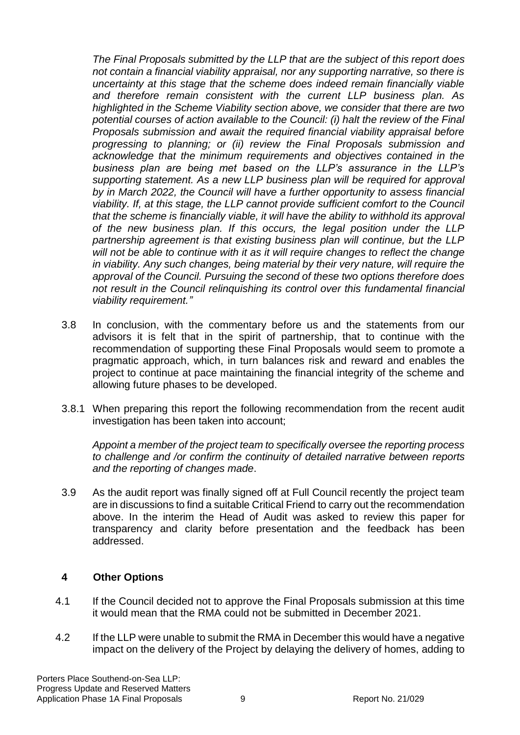*The Final Proposals submitted by the LLP that are the subject of this report does not contain a financial viability appraisal, nor any supporting narrative, so there is uncertainty at this stage that the scheme does indeed remain financially viable and therefore remain consistent with the current LLP business plan. As highlighted in the Scheme Viability section above, we consider that there are two potential courses of action available to the Council: (i) halt the review of the Final Proposals submission and await the required financial viability appraisal before progressing to planning; or (ii) review the Final Proposals submission and acknowledge that the minimum requirements and objectives contained in the business plan are being met based on the LLP's assurance in the LLP's supporting statement. As a new LLP business plan will be required for approval by in March 2022, the Council will have a further opportunity to assess financial viability. If, at this stage, the LLP cannot provide sufficient comfort to the Council that the scheme is financially viable, it will have the ability to withhold its approval of the new business plan. If this occurs, the legal position under the LLP partnership agreement is that existing business plan will continue, but the LLP will not be able to continue with it as it will require changes to reflect the change in viability. Any such changes, being material by their very nature, will require the approval of the Council. Pursuing the second of these two options therefore does not result in the Council relinquishing its control over this fundamental financial viability requirement."*

- 3.8 In conclusion, with the commentary before us and the statements from our advisors it is felt that in the spirit of partnership, that to continue with the recommendation of supporting these Final Proposals would seem to promote a pragmatic approach, which, in turn balances risk and reward and enables the project to continue at pace maintaining the financial integrity of the scheme and allowing future phases to be developed.
- 3.8.1 When preparing this report the following recommendation from the recent audit investigation has been taken into account;

*Appoint a member of the project team to specifically oversee the reporting process to challenge and /or confirm the continuity of detailed narrative between reports and the reporting of changes made*.

3.9 As the audit report was finally signed off at Full Council recently the project team are in discussions to find a suitable Critical Friend to carry out the recommendation above. In the interim the Head of Audit was asked to review this paper for transparency and clarity before presentation and the feedback has been addressed.

## **4 Other Options**

- 4.1 If the Council decided not to approve the Final Proposals submission at this time it would mean that the RMA could not be submitted in December 2021.
- 4.2 If the LLP were unable to submit the RMA in December this would have a negative impact on the delivery of the Project by delaying the delivery of homes, adding to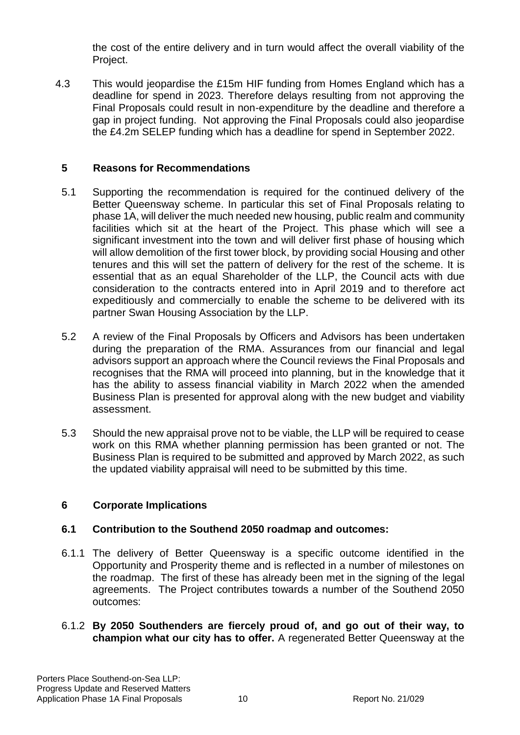the cost of the entire delivery and in turn would affect the overall viability of the Project.

4.3 This would jeopardise the £15m HIF funding from Homes England which has a deadline for spend in 2023. Therefore delays resulting from not approving the Final Proposals could result in non-expenditure by the deadline and therefore a gap in project funding. Not approving the Final Proposals could also jeopardise the £4.2m SELEP funding which has a deadline for spend in September 2022.

## **5 Reasons for Recommendations**

- 5.1 Supporting the recommendation is required for the continued delivery of the Better Queensway scheme. In particular this set of Final Proposals relating to phase 1A, will deliver the much needed new housing, public realm and community facilities which sit at the heart of the Project. This phase which will see a significant investment into the town and will deliver first phase of housing which will allow demolition of the first tower block, by providing social Housing and other tenures and this will set the pattern of delivery for the rest of the scheme. It is essential that as an equal Shareholder of the LLP, the Council acts with due consideration to the contracts entered into in April 2019 and to therefore act expeditiously and commercially to enable the scheme to be delivered with its partner Swan Housing Association by the LLP.
- 5.2 A review of the Final Proposals by Officers and Advisors has been undertaken during the preparation of the RMA. Assurances from our financial and legal advisors support an approach where the Council reviews the Final Proposals and recognises that the RMA will proceed into planning, but in the knowledge that it has the ability to assess financial viability in March 2022 when the amended Business Plan is presented for approval along with the new budget and viability assessment.
- 5.3 Should the new appraisal prove not to be viable, the LLP will be required to cease work on this RMA whether planning permission has been granted or not. The Business Plan is required to be submitted and approved by March 2022, as such the updated viability appraisal will need to be submitted by this time.

## **6 Corporate Implications**

## **6.1 Contribution to the Southend 2050 roadmap and outcomes:**

- 6.1.1 The delivery of Better Queensway is a specific outcome identified in the Opportunity and Prosperity theme and is reflected in a number of milestones on the roadmap. The first of these has already been met in the signing of the legal agreements. The Project contributes towards a number of the Southend 2050 outcomes:
- 6.1.2 **By 2050 Southenders are fiercely proud of, and go out of their way, to champion what our city has to offer.** A regenerated Better Queensway at the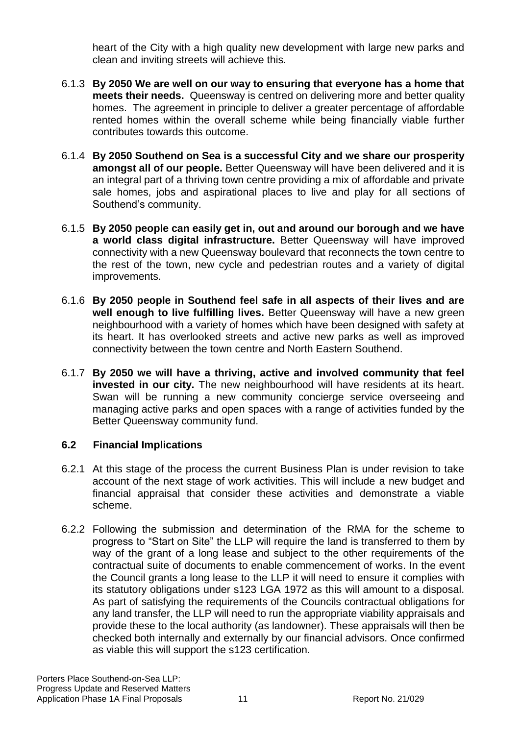heart of the City with a high quality new development with large new parks and clean and inviting streets will achieve this.

- 6.1.3 **By 2050 We are well on our way to ensuring that everyone has a home that meets their needs.** Queensway is centred on delivering more and better quality homes. The agreement in principle to deliver a greater percentage of affordable rented homes within the overall scheme while being financially viable further contributes towards this outcome.
- 6.1.4 **By 2050 Southend on Sea is a successful City and we share our prosperity amongst all of our people.** Better Queensway will have been delivered and it is an integral part of a thriving town centre providing a mix of affordable and private sale homes, jobs and aspirational places to live and play for all sections of Southend's community.
- 6.1.5 **By 2050 people can easily get in, out and around our borough and we have a world class digital infrastructure.** Better Queensway will have improved connectivity with a new Queensway boulevard that reconnects the town centre to the rest of the town, new cycle and pedestrian routes and a variety of digital improvements.
- 6.1.6 **By 2050 people in Southend feel safe in all aspects of their lives and are well enough to live fulfilling lives.** Better Queensway will have a new green neighbourhood with a variety of homes which have been designed with safety at its heart. It has overlooked streets and active new parks as well as improved connectivity between the town centre and North Eastern Southend.
- 6.1.7 **By 2050 we will have a thriving, active and involved community that feel invested in our city.** The new neighbourhood will have residents at its heart. Swan will be running a new community concierge service overseeing and managing active parks and open spaces with a range of activities funded by the Better Queensway community fund.

## **6.2 Financial Implications**

- 6.2.1 At this stage of the process the current Business Plan is under revision to take account of the next stage of work activities. This will include a new budget and financial appraisal that consider these activities and demonstrate a viable scheme.
- 6.2.2 Following the submission and determination of the RMA for the scheme to progress to "Start on Site" the LLP will require the land is transferred to them by way of the grant of a long lease and subject to the other requirements of the contractual suite of documents to enable commencement of works. In the event the Council grants a long lease to the LLP it will need to ensure it complies with its statutory obligations under s123 LGA 1972 as this will amount to a disposal. As part of satisfying the requirements of the Councils contractual obligations for any land transfer, the LLP will need to run the appropriate viability appraisals and provide these to the local authority (as landowner). These appraisals will then be checked both internally and externally by our financial advisors. Once confirmed as viable this will support the s123 certification.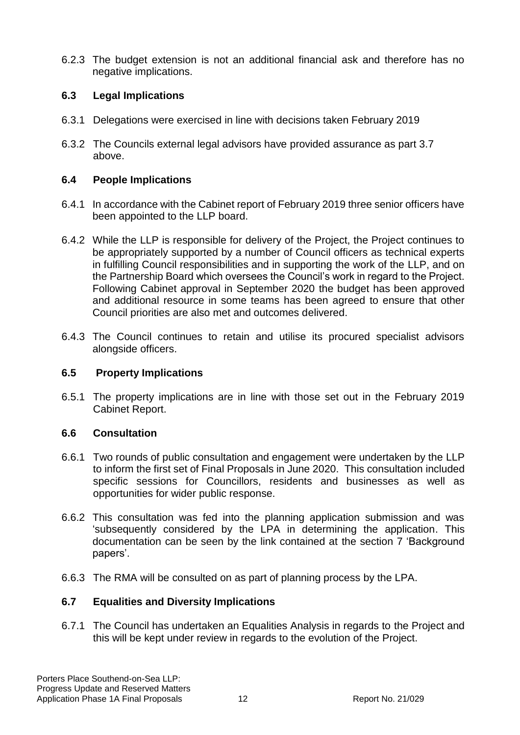6.2.3 The budget extension is not an additional financial ask and therefore has no negative implications.

## **6.3 Legal Implications**

- 6.3.1 Delegations were exercised in line with decisions taken February 2019
- 6.3.2 The Councils external legal advisors have provided assurance as part 3.7 above.

## **6.4 People Implications**

- 6.4.1 In accordance with the Cabinet report of February 2019 three senior officers have been appointed to the LLP board.
- 6.4.2 While the LLP is responsible for delivery of the Project, the Project continues to be appropriately supported by a number of Council officers as technical experts in fulfilling Council responsibilities and in supporting the work of the LLP, and on the Partnership Board which oversees the Council's work in regard to the Project. Following Cabinet approval in September 2020 the budget has been approved and additional resource in some teams has been agreed to ensure that other Council priorities are also met and outcomes delivered.
- 6.4.3 The Council continues to retain and utilise its procured specialist advisors alongside officers.

## **6.5 Property Implications**

6.5.1 The property implications are in line with those set out in the February 2019 Cabinet Report.

## **6.6 Consultation**

- 6.6.1 Two rounds of public consultation and engagement were undertaken by the LLP to inform the first set of Final Proposals in June 2020. This consultation included specific sessions for Councillors, residents and businesses as well as opportunities for wider public response.
- 6.6.2 This consultation was fed into the planning application submission and was 'subsequently considered by the LPA in determining the application. This documentation can be seen by the link contained at the section 7 'Background papers'.
- 6.6.3 The RMA will be consulted on as part of planning process by the LPA.

## **6.7 Equalities and Diversity Implications**

6.7.1 The Council has undertaken an Equalities Analysis in regards to the Project and this will be kept under review in regards to the evolution of the Project.